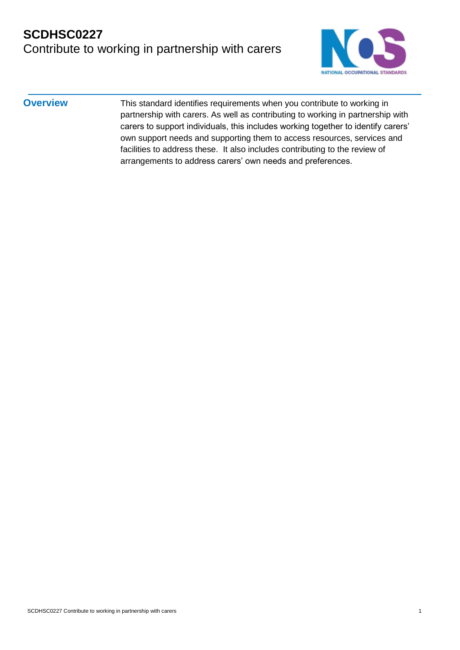

**Overview** This standard identifies requirements when you contribute to working in partnership with carers. As well as contributing to working in partnership with carers to support individuals, this includes working together to identify carers' own support needs and supporting them to access resources, services and facilities to address these. It also includes contributing to the review of arrangements to address carers' own needs and preferences.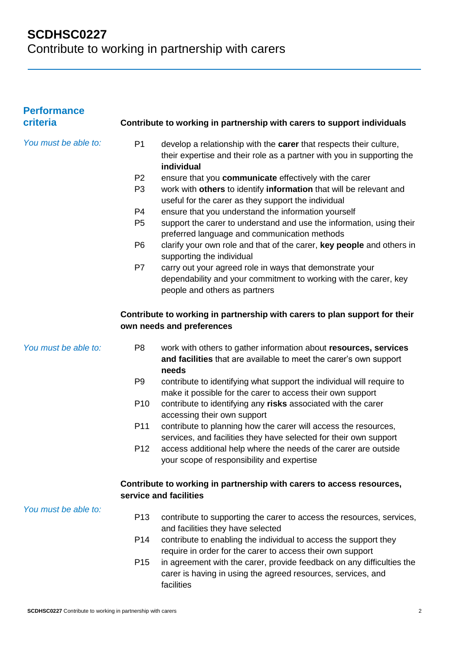| <b>Performance</b><br>criteria | Contribute to working in partnership with carers to support individuals                                                                                                      |  |
|--------------------------------|------------------------------------------------------------------------------------------------------------------------------------------------------------------------------|--|
| You must be able to:           | P <sub>1</sub><br>develop a relationship with the carer that respects their culture,<br>their expertise and their role as a partner with you in supporting the<br>individual |  |
|                                | P <sub>2</sub><br>ensure that you communicate effectively with the carer                                                                                                     |  |
|                                | work with others to identify information that will be relevant and<br>P <sub>3</sub><br>useful for the carer as they support the individual                                  |  |
|                                | P <sub>4</sub><br>ensure that you understand the information yourself                                                                                                        |  |
|                                | P <sub>5</sub><br>support the carer to understand and use the information, using their<br>preferred language and communication methods                                       |  |
|                                | P <sub>6</sub><br>clarify your own role and that of the carer, key people and others in<br>supporting the individual                                                         |  |
|                                | P7<br>carry out your agreed role in ways that demonstrate your<br>dependability and your commitment to working with the carer, key<br>people and others as partners          |  |
|                                | Contribute to working in partnership with carers to plan support for their<br>own needs and preferences                                                                      |  |
| You must be able to:           | P <sub>8</sub><br>work with others to gather information about resources, services<br>and facilities that are available to meet the carer's own support<br>needs             |  |
|                                | contribute to identifying what support the individual will require to<br>P <sub>9</sub><br>make it possible for the carer to access their own support                        |  |
|                                | P <sub>10</sub><br>contribute to identifying any risks associated with the carer<br>accessing their own support                                                              |  |
|                                | contribute to planning how the carer will access the resources,<br>P11<br>services, and facilities they have selected for their own support                                  |  |
|                                | P <sub>12</sub><br>access additional help where the needs of the carer are outside<br>your scope of responsibility and expertise                                             |  |
|                                | Contribute to working in partnership with carers to access resources,                                                                                                        |  |
|                                | service and facilities                                                                                                                                                       |  |
| You must be able to:           | P <sub>13</sub><br>contribute to supporting the carer to access the resources, services,<br>and facilities they have selected                                                |  |
|                                | P <sub>14</sub><br>contribute to enabling the individual to access the support they<br>require in order for the carer to access their own support                            |  |
|                                | P <sub>15</sub><br>in agreement with the carer, provide feedback on any difficulties the<br>carer is having in using the agreed resources, services, and<br>facilities       |  |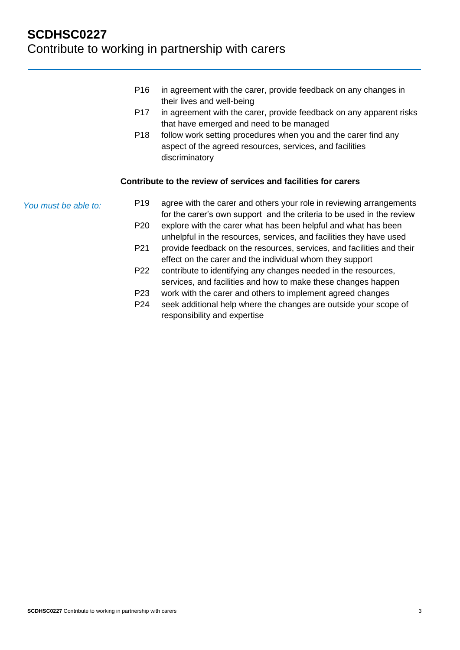- P16 in agreement with the carer, provide feedback on any changes in their lives and well-being
- P17 in agreement with the carer, provide feedback on any apparent risks that have emerged and need to be managed
- P18 follow work setting procedures when you and the carer find any aspect of the agreed resources, services, and facilities discriminatory

#### **Contribute to the review of services and facilities for carers**

*You must be able to:*

- P19 agree with the carer and others your role in reviewing arrangements for the carer's own support and the criteria to be used in the review P20 explore with the carer what has been helpful and what has been unhelpful in the resources, services, and facilities they have used
- P21 provide feedback on the resources, services, and facilities and their effect on the carer and the individual whom they support
- P22 contribute to identifying any changes needed in the resources, services, and facilities and how to make these changes happen
- P23 work with the carer and others to implement agreed changes
- P24 seek additional help where the changes are outside your scope of responsibility and expertise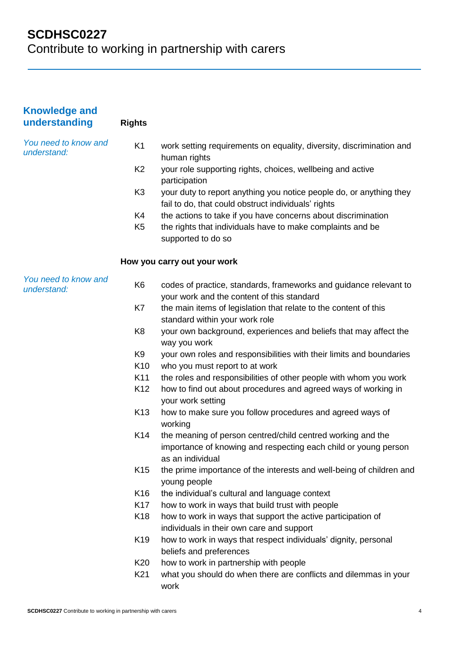| <b>Knowledge and</b><br>understanding | <b>Rights</b>   |                                                                                                                                                    |
|---------------------------------------|-----------------|----------------------------------------------------------------------------------------------------------------------------------------------------|
| You need to know and<br>understand:   | K <sub>1</sub>  | work setting requirements on equality, diversity, discrimination and<br>human rights                                                               |
|                                       | K <sub>2</sub>  | your role supporting rights, choices, wellbeing and active<br>participation                                                                        |
|                                       | K <sub>3</sub>  | your duty to report anything you notice people do, or anything they<br>fail to do, that could obstruct individuals' rights                         |
|                                       | K4              | the actions to take if you have concerns about discrimination                                                                                      |
|                                       | K <sub>5</sub>  | the rights that individuals have to make complaints and be<br>supported to do so                                                                   |
|                                       |                 | How you carry out your work                                                                                                                        |
| You need to know and<br>understand:   | K <sub>6</sub>  | codes of practice, standards, frameworks and guidance relevant to<br>your work and the content of this standard                                    |
|                                       | K7              | the main items of legislation that relate to the content of this<br>standard within your work role                                                 |
|                                       | K <sub>8</sub>  | your own background, experiences and beliefs that may affect the<br>way you work                                                                   |
|                                       | K9              | your own roles and responsibilities with their limits and boundaries                                                                               |
|                                       | K <sub>10</sub> | who you must report to at work                                                                                                                     |
|                                       | K11             | the roles and responsibilities of other people with whom you work                                                                                  |
|                                       | K <sub>12</sub> | how to find out about procedures and agreed ways of working in<br>your work setting                                                                |
|                                       | K <sub>13</sub> | how to make sure you follow procedures and agreed ways of<br>working                                                                               |
|                                       | K14             | the meaning of person centred/child centred working and the<br>importance of knowing and respecting each child or young person<br>as an individual |
|                                       | K <sub>15</sub> | the prime importance of the interests and well-being of children and<br>young people                                                               |
|                                       | K <sub>16</sub> | the individual's cultural and language context                                                                                                     |
|                                       | K17             | how to work in ways that build trust with people                                                                                                   |
|                                       | K <sub>18</sub> | how to work in ways that support the active participation of<br>individuals in their own care and support                                          |
|                                       | K <sub>19</sub> | how to work in ways that respect individuals' dignity, personal<br>beliefs and preferences                                                         |
|                                       | K <sub>20</sub> | how to work in partnership with people                                                                                                             |
|                                       | K21             | what you should do when there are conflicts and dilemmas in your<br>work                                                                           |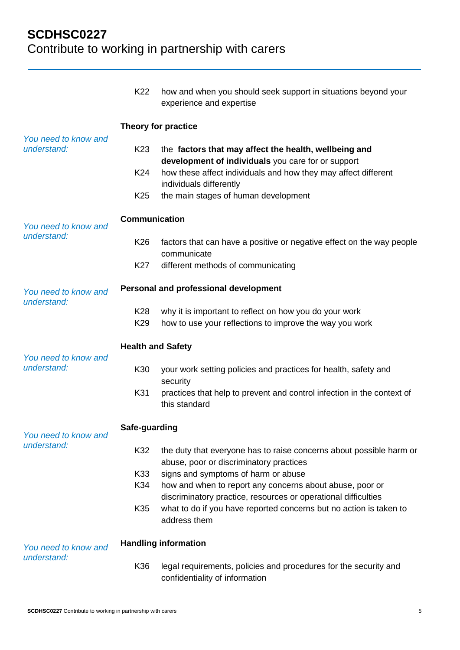|                                     | K <sub>22</sub>                    | how and when you should seek support in situations beyond your<br>experience and expertise                                 |  |  |
|-------------------------------------|------------------------------------|----------------------------------------------------------------------------------------------------------------------------|--|--|
|                                     | Theory for practice                |                                                                                                                            |  |  |
| You need to know and<br>understand: | K <sub>23</sub>                    | the factors that may affect the health, wellbeing and<br>development of individuals you care for or support                |  |  |
|                                     | K24                                | how these affect individuals and how they may affect different<br>individuals differently                                  |  |  |
|                                     | K <sub>25</sub>                    | the main stages of human development                                                                                       |  |  |
| You need to know and<br>understand: | <b>Communication</b>               |                                                                                                                            |  |  |
|                                     | K <sub>26</sub>                    | factors that can have a positive or negative effect on the way people<br>communicate                                       |  |  |
|                                     | K <sub>27</sub>                    | different methods of communicating                                                                                         |  |  |
| You need to know and<br>understand: |                                    | Personal and professional development                                                                                      |  |  |
|                                     | K <sub>28</sub><br>K <sub>29</sub> | why it is important to reflect on how you do your work<br>how to use your reflections to improve the way you work          |  |  |
| You need to know and<br>understand: | <b>Health and Safety</b>           |                                                                                                                            |  |  |
|                                     | K30                                | your work setting policies and practices for health, safety and<br>security                                                |  |  |
|                                     | K31                                | practices that help to prevent and control infection in the context of<br>this standard                                    |  |  |
| You need to know and<br>understand: | Safe-guarding                      |                                                                                                                            |  |  |
|                                     | K32                                | the duty that everyone has to raise concerns about possible harm or<br>abuse, poor or discriminatory practices             |  |  |
|                                     | K33                                | signs and symptoms of harm or abuse                                                                                        |  |  |
|                                     | K34                                | how and when to report any concerns about abuse, poor or<br>discriminatory practice, resources or operational difficulties |  |  |
|                                     | K35                                | what to do if you have reported concerns but no action is taken to<br>address them                                         |  |  |
| You need to know and<br>understand: |                                    | <b>Handling information</b>                                                                                                |  |  |
|                                     | K36                                | legal requirements, policies and procedures for the security and<br>confidentiality of information                         |  |  |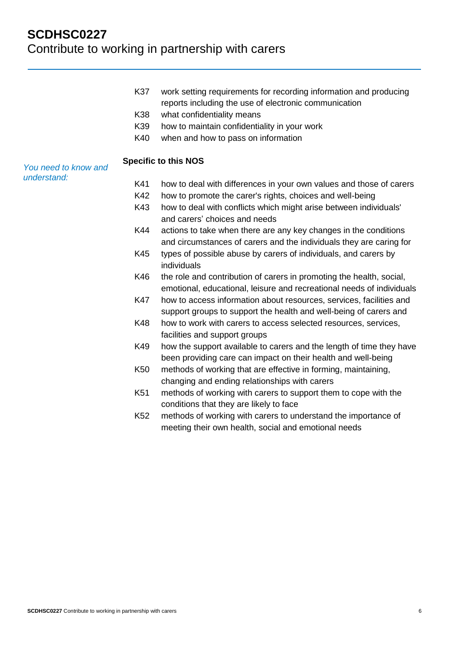- K37 work setting requirements for recording information and producing reports including the use of electronic communication
- K38 what confidentiality means
- K39 how to maintain confidentiality in your work
- K40 when and how to pass on information

#### **Specific to this NOS**

*You need to know and understand:*

- K41 how to deal with differences in your own values and those of carers
- K42 how to promote the carer's rights, choices and well-being
- K43 how to deal with conflicts which might arise between individuals' and carers' choices and needs
- K44 actions to take when there are any key changes in the conditions and circumstances of carers and the individuals they are caring for
- K45 types of possible abuse by carers of individuals, and carers by individuals
- K46 the role and contribution of carers in promoting the health, social, emotional, educational, leisure and recreational needs of individuals
- K47 how to access information about resources, services, facilities and support groups to support the health and well-being of carers and
- K48 how to work with carers to access selected resources, services, facilities and support groups
- K49 how the support available to carers and the length of time they have been providing care can impact on their health and well-being
- K50 methods of working that are effective in forming, maintaining, changing and ending relationships with carers
- K51 methods of working with carers to support them to cope with the conditions that they are likely to face
- K52 methods of working with carers to understand the importance of meeting their own health, social and emotional needs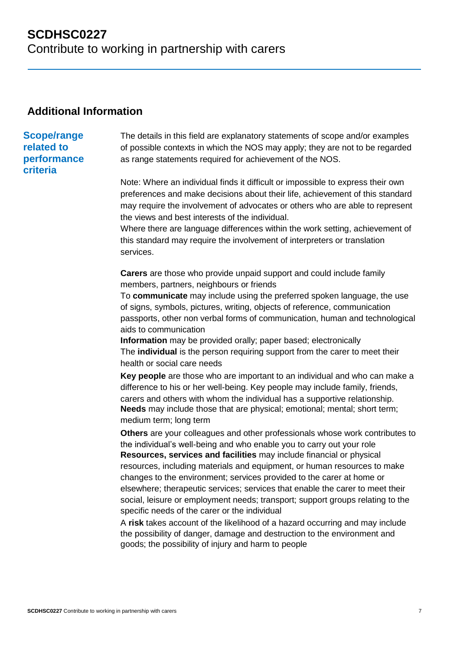### **Additional Information**

## **Scope/range related to**

### **performance criteria**

The details in this field are explanatory statements of scope and/or examples of possible contexts in which the NOS may apply; they are not to be regarded as range statements required for achievement of the NOS.

Note: Where an individual finds it difficult or impossible to express their own preferences and make decisions about their life, achievement of this standard may require the involvement of advocates or others who are able to represent the views and best interests of the individual.

Where there are language differences within the work setting, achievement of this standard may require the involvement of interpreters or translation services.

**Carers** are those who provide unpaid support and could include family members, partners, neighbours or friends

To **communicate** may include using the preferred spoken language, the use of signs, symbols, pictures, writing, objects of reference, communication passports, other non verbal forms of communication, human and technological aids to communication

**Information** may be provided orally; paper based; electronically The **individual** is the person requiring support from the carer to meet their health or social care needs

**Key people** are those who are important to an individual and who can make a difference to his or her well-being. Key people may include family, friends, carers and others with whom the individual has a supportive relationship. **Needs** may include those that are physical; emotional; mental; short term; medium term; long term

**Others** are your colleagues and other professionals whose work contributes to the individual's well-being and who enable you to carry out your role **Resources, services and facilities** may include financial or physical resources, including materials and equipment, or human resources to make changes to the environment; services provided to the carer at home or elsewhere; therapeutic services; services that enable the carer to meet their social, leisure or employment needs; transport; support groups relating to the specific needs of the carer or the individual

A **risk** takes account of the likelihood of a hazard occurring and may include the possibility of danger, damage and destruction to the environment and goods; the possibility of injury and harm to people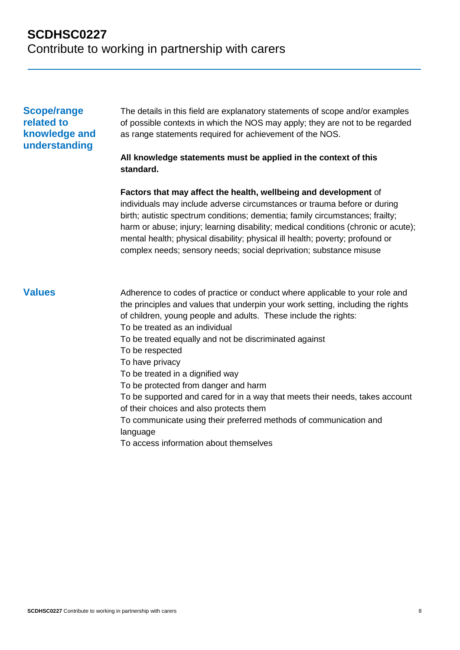#### **Scope/range related to knowledge and understanding**

The details in this field are explanatory statements of scope and/or examples of possible contexts in which the NOS may apply; they are not to be regarded as range statements required for achievement of the NOS.

#### **All knowledge statements must be applied in the context of this standard.**

**Factors that may affect the health, wellbeing and development** of individuals may include adverse circumstances or trauma before or during birth; autistic spectrum conditions; dementia; family circumstances; frailty; harm or abuse; injury; learning disability; medical conditions (chronic or acute); mental health; physical disability; physical ill health; poverty; profound or complex needs; sensory needs; social deprivation; substance misuse

**Values** Adherence to codes of practice or conduct where applicable to your role and the principles and values that underpin your work setting, including the rights of children, young people and adults. These include the rights: To be treated as an individual To be treated equally and not be discriminated against To be respected To have privacy To be treated in a dignified way To be protected from danger and harm To be supported and cared for in a way that meets their needs, takes account of their choices and also protects them To communicate using their preferred methods of communication and language To access information about themselves